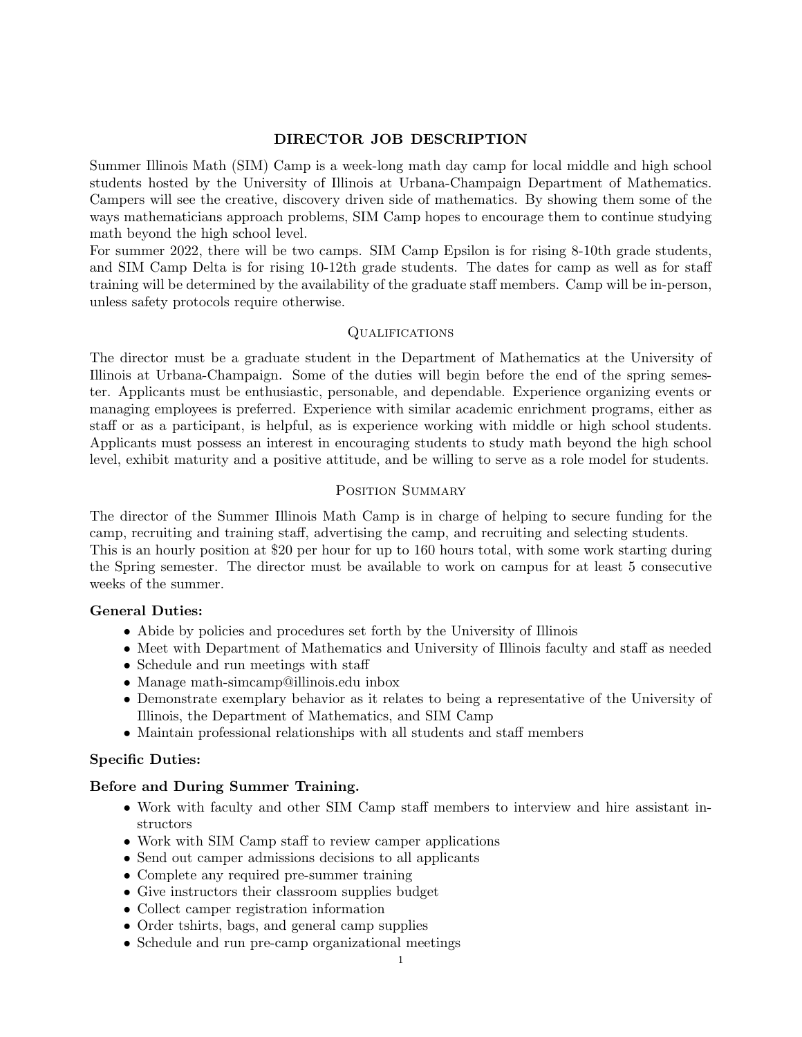### DIRECTOR JOB DESCRIPTION

Summer Illinois Math (SIM) Camp is a week-long math day camp for local middle and high school students hosted by the University of Illinois at Urbana-Champaign Department of Mathematics. Campers will see the creative, discovery driven side of mathematics. By showing them some of the ways mathematicians approach problems, SIM Camp hopes to encourage them to continue studying math beyond the high school level.

For summer 2022, there will be two camps. SIM Camp Epsilon is for rising 8-10th grade students, and SIM Camp Delta is for rising 10-12th grade students. The dates for camp as well as for staff training will be determined by the availability of the graduate staff members. Camp will be in-person, unless safety protocols require otherwise.

### **QUALIFICATIONS**

The director must be a graduate student in the Department of Mathematics at the University of Illinois at Urbana-Champaign. Some of the duties will begin before the end of the spring semester. Applicants must be enthusiastic, personable, and dependable. Experience organizing events or managing employees is preferred. Experience with similar academic enrichment programs, either as staff or as a participant, is helpful, as is experience working with middle or high school students. Applicants must possess an interest in encouraging students to study math beyond the high school level, exhibit maturity and a positive attitude, and be willing to serve as a role model for students.

### POSITION SUMMARY

The director of the Summer Illinois Math Camp is in charge of helping to secure funding for the camp, recruiting and training staff, advertising the camp, and recruiting and selecting students. This is an hourly position at \$20 per hour for up to 160 hours total, with some work starting during the Spring semester. The director must be available to work on campus for at least 5 consecutive weeks of the summer.

# General Duties:

- Abide by policies and procedures set forth by the University of Illinois
- Meet with Department of Mathematics and University of Illinois faculty and staff as needed
- Schedule and run meetings with staff
- Manage math-simcamp@illinois.edu inbox
- Demonstrate exemplary behavior as it relates to being a representative of the University of Illinois, the Department of Mathematics, and SIM Camp
- Maintain professional relationships with all students and staff members

# Specific Duties:

# Before and During Summer Training.

- Work with faculty and other SIM Camp staff members to interview and hire assistant instructors
- Work with SIM Camp staff to review camper applications
- Send out camper admissions decisions to all applicants
- Complete any required pre-summer training
- Give instructors their classroom supplies budget
- Collect camper registration information
- Order tshirts, bags, and general camp supplies
- Schedule and run pre-camp organizational meetings